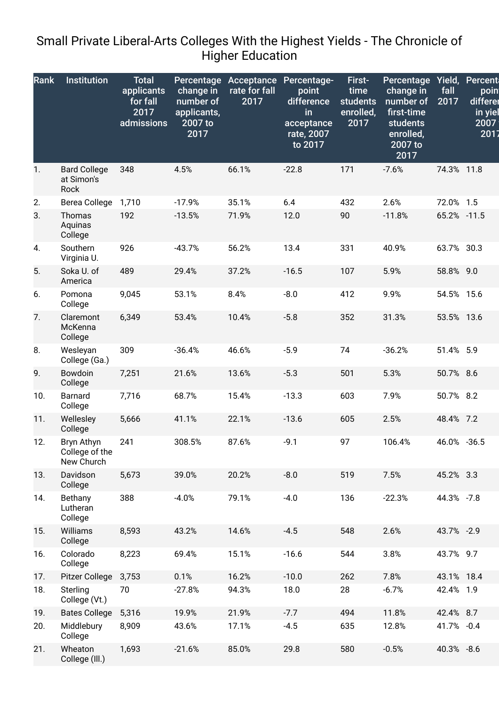## Small Private Liberal-Arts Colleges With the Highest Yields - The Chronicle of Higher Education

| Rank | <b>Institution</b>                         | <b>Total</b><br>applicants<br>for fall<br>2017<br>admissions | Percentage<br>change in<br>number of<br>applicants,<br>2007 to<br>2017 | Acceptance<br>rate for fall<br>2017 | Percentage-<br>point<br>difference<br>in<br>acceptance<br>rate, 2007<br>to 2017 | First-<br>time<br><b>students</b><br>enrolled,<br>2017 | <b>Percentage</b><br>change in<br>number of<br>first-time<br>students<br>enrolled,<br>$2007$ to<br>2017 | Yield,<br>fall<br>2017 | Percent<br>poin<br>differer<br>in yiel<br>2007<br>2017 |
|------|--------------------------------------------|--------------------------------------------------------------|------------------------------------------------------------------------|-------------------------------------|---------------------------------------------------------------------------------|--------------------------------------------------------|---------------------------------------------------------------------------------------------------------|------------------------|--------------------------------------------------------|
| 1.   | <b>Bard College</b><br>at Simon's<br>Rock  | 348                                                          | 4.5%                                                                   | 66.1%                               | $-22.8$                                                                         | 171                                                    | $-7.6%$                                                                                                 | 74.3% 11.8             |                                                        |
| 2.   | Berea College                              | 1,710                                                        | $-17.9%$                                                               | 35.1%                               | 6.4                                                                             | 432                                                    | 2.6%                                                                                                    | 72.0% 1.5              |                                                        |
| 3.   | Thomas<br>Aquinas<br>College               | 192                                                          | $-13.5%$                                                               | 71.9%                               | 12.0                                                                            | 90                                                     | $-11.8%$                                                                                                | 65.2% -11.5            |                                                        |
| 4.   | Southern<br>Virginia U.                    | 926                                                          | $-43.7%$                                                               | 56.2%                               | 13.4                                                                            | 331                                                    | 40.9%                                                                                                   | 63.7% 30.3             |                                                        |
| 5.   | Soka U. of<br>America                      | 489                                                          | 29.4%                                                                  | 37.2%                               | $-16.5$                                                                         | 107                                                    | 5.9%                                                                                                    | 58.8% 9.0              |                                                        |
| 6.   | Pomona<br>College                          | 9,045                                                        | 53.1%                                                                  | 8.4%                                | $-8.0$                                                                          | 412                                                    | 9.9%                                                                                                    | 54.5% 15.6             |                                                        |
| 7.   | Claremont<br>McKenna<br>College            | 6,349                                                        | 53.4%                                                                  | 10.4%                               | $-5.8$                                                                          | 352                                                    | 31.3%                                                                                                   | 53.5% 13.6             |                                                        |
| 8.   | Wesleyan<br>College (Ga.)                  | 309                                                          | $-36.4%$                                                               | 46.6%                               | $-5.9$                                                                          | 74                                                     | $-36.2%$                                                                                                | 51.4% 5.9              |                                                        |
| 9.   | Bowdoin<br>College                         | 7,251                                                        | 21.6%                                                                  | 13.6%                               | $-5.3$                                                                          | 501                                                    | 5.3%                                                                                                    | 50.7% 8.6              |                                                        |
| 10.  | <b>Barnard</b><br>College                  | 7,716                                                        | 68.7%                                                                  | 15.4%                               | $-13.3$                                                                         | 603                                                    | 7.9%                                                                                                    | 50.7% 8.2              |                                                        |
| 11.  | Wellesley<br>College                       | 5,666                                                        | 41.1%                                                                  | 22.1%                               | $-13.6$                                                                         | 605                                                    | 2.5%                                                                                                    | 48.4% 7.2              |                                                        |
| 12.  | Bryn Athyn<br>College of the<br>New Church | 241                                                          | 308.5%                                                                 | 87.6%                               | $-9.1$                                                                          | 97                                                     | 106.4%                                                                                                  | 46.0% -36.5            |                                                        |
| 13.  | Davidson<br>College                        | 5,673                                                        | 39.0%                                                                  | 20.2%                               | $-8.0$                                                                          | 519                                                    | 7.5%                                                                                                    | 45.2% 3.3              |                                                        |
| 14.  | Bethany<br>Lutheran<br>College             | 388                                                          | $-4.0%$                                                                | 79.1%                               | $-4.0$                                                                          | 136                                                    | $-22.3%$                                                                                                | 44.3% -7.8             |                                                        |
| 15.  | Williams<br>College                        | 8,593                                                        | 43.2%                                                                  | 14.6%                               | $-4.5$                                                                          | 548                                                    | 2.6%                                                                                                    | 43.7% -2.9             |                                                        |
| 16.  | Colorado<br>College                        | 8,223                                                        | 69.4%                                                                  | 15.1%                               | $-16.6$                                                                         | 544                                                    | 3.8%                                                                                                    | 43.7% 9.7              |                                                        |
| 17.  | Pitzer College                             | 3,753                                                        | 0.1%                                                                   | 16.2%                               | $-10.0$                                                                         | 262                                                    | 7.8%                                                                                                    | 43.1% 18.4             |                                                        |
| 18.  | Sterling<br>College (Vt.)                  | 70                                                           | $-27.8%$                                                               | 94.3%                               | 18.0                                                                            | 28                                                     | $-6.7%$                                                                                                 | 42.4% 1.9              |                                                        |
| 19.  | <b>Bates College</b>                       | 5,316                                                        | 19.9%                                                                  | 21.9%                               | $-7.7$                                                                          | 494                                                    | 11.8%                                                                                                   | 42.4% 8.7              |                                                        |
| 20.  | Middlebury<br>College                      | 8,909                                                        | 43.6%                                                                  | 17.1%                               | $-4.5$                                                                          | 635                                                    | 12.8%                                                                                                   | 41.7% -0.4             |                                                        |
| 21.  | Wheaton<br>College (III.)                  | 1,693                                                        | $-21.6%$                                                               | 85.0%                               | 29.8                                                                            | 580                                                    | $-0.5%$                                                                                                 | 40.3% -8.6             |                                                        |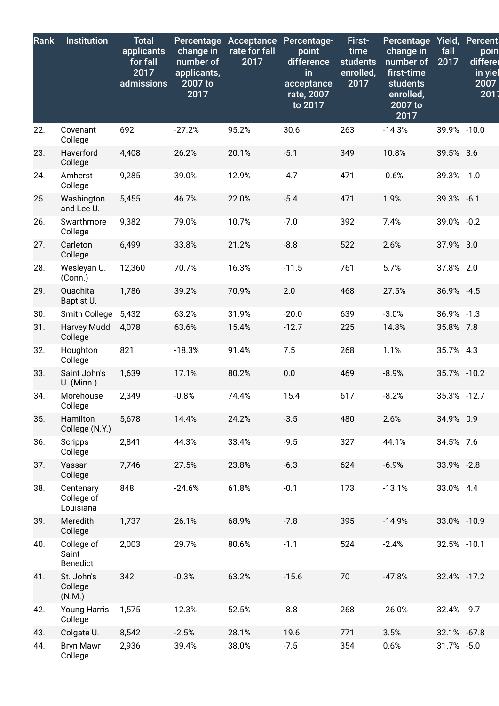| Rank | <b>Institution</b>                     | <b>Total</b><br>applicants<br>for fall<br>2017<br>admissions | Percentage<br>change in<br>number of<br>applicants,<br>2007 to<br>2017 | Acceptance<br>rate for fall<br>2017 | Percentage-<br>point<br>difference<br>in<br>acceptance<br>rate, 2007<br>to 2017 | First-<br>time<br><b>students</b><br>enrolled,<br>2017 | Percentage<br>change in<br>number of<br>first-time<br>students<br>enrolled,<br>2007 to<br>2017 | Yield,<br>fall<br>2017 | Percent<br>poin<br>differer<br>in yiel<br>2007<br>2017 |
|------|----------------------------------------|--------------------------------------------------------------|------------------------------------------------------------------------|-------------------------------------|---------------------------------------------------------------------------------|--------------------------------------------------------|------------------------------------------------------------------------------------------------|------------------------|--------------------------------------------------------|
| 22.  | Covenant<br>College                    | 692                                                          | $-27.2%$                                                               | 95.2%                               | 30.6                                                                            | 263                                                    | $-14.3%$                                                                                       | 39.9% -10.0            |                                                        |
| 23.  | Haverford<br>College                   | 4,408                                                        | 26.2%                                                                  | 20.1%                               | $-5.1$                                                                          | 349                                                    | 10.8%                                                                                          | 39.5% 3.6              |                                                        |
| 24.  | Amherst<br>College                     | 9,285                                                        | 39.0%                                                                  | 12.9%                               | $-4.7$                                                                          | 471                                                    | $-0.6%$                                                                                        | 39.3% -1.0             |                                                        |
| 25.  | Washington<br>and Lee U.               | 5,455                                                        | 46.7%                                                                  | 22.0%                               | $-5.4$                                                                          | 471                                                    | 1.9%                                                                                           | 39.3% -6.1             |                                                        |
| 26.  | Swarthmore<br>College                  | 9,382                                                        | 79.0%                                                                  | 10.7%                               | $-7.0$                                                                          | 392                                                    | 7.4%                                                                                           | 39.0% -0.2             |                                                        |
| 27.  | Carleton<br>College                    | 6,499                                                        | 33.8%                                                                  | 21.2%                               | $-8.8$                                                                          | 522                                                    | 2.6%                                                                                           | 37.9% 3.0              |                                                        |
| 28.  | Wesleyan U.<br>(Conn.)                 | 12,360                                                       | 70.7%                                                                  | 16.3%                               | $-11.5$                                                                         | 761                                                    | 5.7%                                                                                           | 37.8% 2.0              |                                                        |
| 29.  | Ouachita<br>Baptist U.                 | 1,786                                                        | 39.2%                                                                  | 70.9%                               | 2.0                                                                             | 468                                                    | 27.5%                                                                                          | 36.9% -4.5             |                                                        |
| 30.  | Smith College                          | 5,432                                                        | 63.2%                                                                  | 31.9%                               | $-20.0$                                                                         | 639                                                    | $-3.0%$                                                                                        | 36.9% -1.3             |                                                        |
| 31.  | Harvey Mudd<br>College                 | 4,078                                                        | 63.6%                                                                  | 15.4%                               | $-12.7$                                                                         | 225                                                    | 14.8%                                                                                          | 35.8% 7.8              |                                                        |
| 32.  | Houghton<br>College                    | 821                                                          | $-18.3%$                                                               | 91.4%                               | 7.5                                                                             | 268                                                    | 1.1%                                                                                           | 35.7% 4.3              |                                                        |
| 33.  | Saint John's<br>U. (Minn.)             | 1,639                                                        | 17.1%                                                                  | 80.2%                               | 0.0                                                                             | 469                                                    | $-8.9%$                                                                                        | 35.7% -10.2            |                                                        |
| 34.  | Morehouse<br>College                   | 2,349                                                        | $-0.8%$                                                                | 74.4%                               | 15.4                                                                            | 617                                                    | $-8.2%$                                                                                        | 35.3% -12.7            |                                                        |
| 35.  | Hamilton<br>College (N.Y.)             | 5,678                                                        | 14.4%                                                                  | 24.2%                               | $-3.5$                                                                          | 480                                                    | 2.6%                                                                                           | 34.9% 0.9              |                                                        |
| 36.  | Scripps<br>College                     | 2,841                                                        | 44.3%                                                                  | 33.4%                               | $-9.5$                                                                          | 327                                                    | 44.1%                                                                                          | 34.5% 7.6              |                                                        |
| 37.  | Vassar<br>College                      | 7,746                                                        | 27.5%                                                                  | 23.8%                               | $-6.3$                                                                          | 624                                                    | $-6.9%$                                                                                        | 33.9% -2.8             |                                                        |
| 38.  | Centenary<br>College of<br>Louisiana   | 848                                                          | $-24.6%$                                                               | 61.8%                               | $-0.1$                                                                          | 173                                                    | $-13.1%$                                                                                       | 33.0% 4.4              |                                                        |
| 39.  | Meredith<br>College                    | 1,737                                                        | 26.1%                                                                  | 68.9%                               | $-7.8$                                                                          | 395                                                    | $-14.9%$                                                                                       | 33.0% -10.9            |                                                        |
| 40.  | College of<br>Saint<br><b>Benedict</b> | 2,003                                                        | 29.7%                                                                  | 80.6%                               | $-1.1$                                                                          | 524                                                    | $-2.4%$                                                                                        | 32.5% -10.1            |                                                        |
| 41.  | St. John's<br>College<br>(N.M.)        | 342                                                          | $-0.3%$                                                                | 63.2%                               | $-15.6$                                                                         | 70                                                     | $-47.8%$                                                                                       | 32.4% -17.2            |                                                        |
| 42.  | <b>Young Harris</b><br>College         | 1,575                                                        | 12.3%                                                                  | 52.5%                               | $-8.8$                                                                          | 268                                                    | $-26.0%$                                                                                       | 32.4% -9.7             |                                                        |
| 43.  | Colgate U.                             | 8,542                                                        | $-2.5%$                                                                | 28.1%                               | 19.6                                                                            | 771                                                    | 3.5%                                                                                           | 32.1% -67.8            |                                                        |
| 44.  | <b>Bryn Mawr</b><br>College            | 2,936                                                        | 39.4%                                                                  | 38.0%                               | $-7.5$                                                                          | 354                                                    | 0.6%                                                                                           | 31.7% -5.0             |                                                        |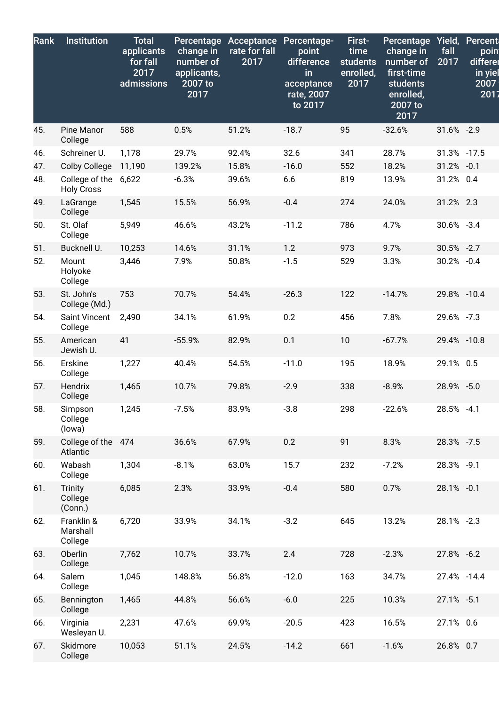| Rank | <b>Institution</b>                  | <b>Total</b><br>applicants<br>for fall<br>2017<br>admissions | Percentage<br>change in<br>number of<br>applicants,<br>2007 to<br>2017 | Acceptance<br>rate for fall<br>2017 | Percentage-<br>point<br>difference<br>in<br>acceptance<br>rate, 2007<br>to 2017 | First-<br>time<br><b>students</b><br>enrolled,<br>2017 | <b>Percentage</b><br>change in<br>number of<br>first-time<br>students<br>enrolled,<br>2007 to<br>2017 | Yield,<br>fall<br>2017 | Percent<br>poin<br>differer<br>in yiel<br>2007<br>2017 |
|------|-------------------------------------|--------------------------------------------------------------|------------------------------------------------------------------------|-------------------------------------|---------------------------------------------------------------------------------|--------------------------------------------------------|-------------------------------------------------------------------------------------------------------|------------------------|--------------------------------------------------------|
| 45.  | Pine Manor<br>College               | 588                                                          | 0.5%                                                                   | 51.2%                               | $-18.7$                                                                         | 95                                                     | $-32.6%$                                                                                              | 31.6% -2.9             |                                                        |
| 46.  | Schreiner U.                        | 1,178                                                        | 29.7%                                                                  | 92.4%                               | 32.6                                                                            | 341                                                    | 28.7%                                                                                                 | 31.3% -17.5            |                                                        |
| 47.  | <b>Colby College</b>                | 11,190                                                       | 139.2%                                                                 | 15.8%                               | $-16.0$                                                                         | 552                                                    | 18.2%                                                                                                 | 31.2% -0.1             |                                                        |
| 48.  | College of the<br><b>Holy Cross</b> | 6,622                                                        | $-6.3%$                                                                | 39.6%                               | 6.6                                                                             | 819                                                    | 13.9%                                                                                                 | 31.2% 0.4              |                                                        |
| 49.  | LaGrange<br>College                 | 1,545                                                        | 15.5%                                                                  | 56.9%                               | $-0.4$                                                                          | 274                                                    | 24.0%                                                                                                 | 31.2% 2.3              |                                                        |
| 50.  | St. Olaf<br>College                 | 5,949                                                        | 46.6%                                                                  | 43.2%                               | $-11.2$                                                                         | 786                                                    | 4.7%                                                                                                  | 30.6% -3.4             |                                                        |
| 51.  | Bucknell U.                         | 10,253                                                       | 14.6%                                                                  | 31.1%                               | 1.2                                                                             | 973                                                    | 9.7%                                                                                                  | 30.5% -2.7             |                                                        |
| 52.  | Mount<br>Holyoke<br>College         | 3,446                                                        | 7.9%                                                                   | 50.8%                               | $-1.5$                                                                          | 529                                                    | 3.3%                                                                                                  | 30.2% -0.4             |                                                        |
| 53.  | St. John's<br>College (Md.)         | 753                                                          | 70.7%                                                                  | 54.4%                               | $-26.3$                                                                         | 122                                                    | $-14.7%$                                                                                              | 29.8% -10.4            |                                                        |
| 54.  | Saint Vincent<br>College            | 2,490                                                        | 34.1%                                                                  | 61.9%                               | 0.2                                                                             | 456                                                    | 7.8%                                                                                                  | 29.6% -7.3             |                                                        |
| 55.  | American<br>Jewish U.               | 41                                                           | $-55.9%$                                                               | 82.9%                               | 0.1                                                                             | 10                                                     | $-67.7%$                                                                                              | 29.4% -10.8            |                                                        |
| 56.  | Erskine<br>College                  | 1,227                                                        | 40.4%                                                                  | 54.5%                               | $-11.0$                                                                         | 195                                                    | 18.9%                                                                                                 | 29.1% 0.5              |                                                        |
| 57.  | Hendrix<br>College                  | 1,465                                                        | 10.7%                                                                  | 79.8%                               | $-2.9$                                                                          | 338                                                    | $-8.9%$                                                                                               | 28.9% -5.0             |                                                        |
| 58.  | Simpson<br>College<br>(lowa)        | 1,245                                                        | $-7.5%$                                                                | 83.9%                               | $-3.8$                                                                          | 298                                                    | $-22.6%$                                                                                              | 28.5% -4.1             |                                                        |
| 59.  | College of the 474<br>Atlantic      |                                                              | 36.6%                                                                  | 67.9%                               | 0.2                                                                             | 91                                                     | 8.3%                                                                                                  | 28.3% -7.5             |                                                        |
| 60.  | Wabash<br>College                   | 1,304                                                        | $-8.1%$                                                                | 63.0%                               | 15.7                                                                            | 232                                                    | $-7.2%$                                                                                               | 28.3% -9.1             |                                                        |
| 61.  | Trinity<br>College<br>(Conn.)       | 6,085                                                        | 2.3%                                                                   | 33.9%                               | $-0.4$                                                                          | 580                                                    | 0.7%                                                                                                  | 28.1% -0.1             |                                                        |
| 62.  | Franklin &<br>Marshall<br>College   | 6,720                                                        | 33.9%                                                                  | 34.1%                               | $-3.2$                                                                          | 645                                                    | 13.2%                                                                                                 | 28.1% -2.3             |                                                        |
| 63.  | Oberlin<br>College                  | 7,762                                                        | 10.7%                                                                  | 33.7%                               | 2.4                                                                             | 728                                                    | $-2.3%$                                                                                               | 27.8% -6.2             |                                                        |
| 64.  | Salem<br>College                    | 1,045                                                        | 148.8%                                                                 | 56.8%                               | $-12.0$                                                                         | 163                                                    | 34.7%                                                                                                 | 27.4% -14.4            |                                                        |
| 65.  | Bennington<br>College               | 1,465                                                        | 44.8%                                                                  | 56.6%                               | $-6.0$                                                                          | 225                                                    | 10.3%                                                                                                 | 27.1% -5.1             |                                                        |
| 66.  | Virginia<br>Wesleyan U.             | 2,231                                                        | 47.6%                                                                  | 69.9%                               | $-20.5$                                                                         | 423                                                    | 16.5%                                                                                                 | 27.1% 0.6              |                                                        |
| 67.  | Skidmore<br>College                 | 10,053                                                       | 51.1%                                                                  | 24.5%                               | $-14.2$                                                                         | 661                                                    | $-1.6%$                                                                                               | 26.8% 0.7              |                                                        |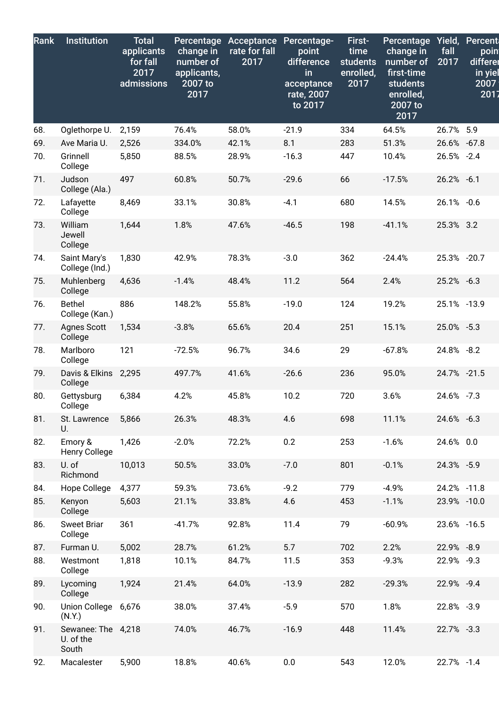| Rank | <b>Institution</b>                       | <b>Total</b><br>applicants<br>for fall<br>2017<br>admissions | Percentage<br>change in<br>number of<br>applicants,<br>2007 to<br>2017 | Acceptance<br>rate for fall<br>2017 | Percentage-<br>$\overline{point}$<br>difference<br>in<br>acceptance<br>rate, 2007<br>to 2017 | First-<br>time<br><b>students</b><br>enrolled,<br>2017 | Percentage<br>change in<br>number of<br>first-time<br><b>students</b><br>enrolled,<br>2007 to<br>2017 | Yield,<br>fall<br>2017 | Percent<br>poin<br>differer<br>in yiel<br>2007<br>2017 |
|------|------------------------------------------|--------------------------------------------------------------|------------------------------------------------------------------------|-------------------------------------|----------------------------------------------------------------------------------------------|--------------------------------------------------------|-------------------------------------------------------------------------------------------------------|------------------------|--------------------------------------------------------|
| 68.  | Oglethorpe U.                            | 2,159                                                        | 76.4%                                                                  | 58.0%                               | $-21.9$                                                                                      | 334                                                    | 64.5%                                                                                                 | 26.7% 5.9              |                                                        |
| 69.  | Ave Maria U.                             | 2,526                                                        | 334.0%                                                                 | 42.1%                               | 8.1                                                                                          | 283                                                    | 51.3%                                                                                                 | 26.6% -67.8            |                                                        |
| 70.  | Grinnell<br>College                      | 5,850                                                        | 88.5%                                                                  | 28.9%                               | $-16.3$                                                                                      | 447                                                    | 10.4%                                                                                                 | 26.5% -2.4             |                                                        |
| 71.  | Judson<br>College (Ala.)                 | 497                                                          | 60.8%                                                                  | 50.7%                               | $-29.6$                                                                                      | 66                                                     | $-17.5%$                                                                                              | 26.2% -6.1             |                                                        |
| 72.  | Lafayette<br>College                     | 8,469                                                        | 33.1%                                                                  | 30.8%                               | $-4.1$                                                                                       | 680                                                    | 14.5%                                                                                                 | 26.1% -0.6             |                                                        |
| 73.  | William<br>Jewell<br>College             | 1,644                                                        | 1.8%                                                                   | 47.6%                               | $-46.5$                                                                                      | 198                                                    | $-41.1%$                                                                                              | 25.3% 3.2              |                                                        |
| 74.  | Saint Mary's<br>College (Ind.)           | 1,830                                                        | 42.9%                                                                  | 78.3%                               | $-3.0$                                                                                       | 362                                                    | $-24.4%$                                                                                              | 25.3% -20.7            |                                                        |
| 75.  | Muhlenberg<br>College                    | 4,636                                                        | $-1.4%$                                                                | 48.4%                               | 11.2                                                                                         | 564                                                    | 2.4%                                                                                                  | 25.2% -6.3             |                                                        |
| 76.  | <b>Bethel</b><br>College (Kan.)          | 886                                                          | 148.2%                                                                 | 55.8%                               | $-19.0$                                                                                      | 124                                                    | 19.2%                                                                                                 | 25.1% -13.9            |                                                        |
| 77.  | <b>Agnes Scott</b><br>College            | 1,534                                                        | $-3.8%$                                                                | 65.6%                               | 20.4                                                                                         | 251                                                    | 15.1%                                                                                                 | 25.0% -5.3             |                                                        |
| 78.  | Marlboro<br>College                      | 121                                                          | $-72.5%$                                                               | 96.7%                               | 34.6                                                                                         | 29                                                     | $-67.8%$                                                                                              | 24.8% -8.2             |                                                        |
| 79.  | Davis & Elkins 2,295<br>College          |                                                              | 497.7%                                                                 | 41.6%                               | $-26.6$                                                                                      | 236                                                    | 95.0%                                                                                                 | 24.7% -21.5            |                                                        |
| 80.  | Gettysburg<br>College                    | 6,384                                                        | 4.2%                                                                   | 45.8%                               | 10.2                                                                                         | 720                                                    | 3.6%                                                                                                  | 24.6% -7.3             |                                                        |
| 81.  | St. Lawrence<br>U.                       | 5,866                                                        | 26.3%                                                                  | 48.3%                               | 4.6                                                                                          | 698                                                    | 11.1%                                                                                                 | 24.6% -6.3             |                                                        |
| 82.  | Emory &<br>Henry College                 | 1,426                                                        | $-2.0%$                                                                | 72.2%                               | 0.2                                                                                          | 253                                                    | $-1.6%$                                                                                               | 24.6% 0.0              |                                                        |
| 83.  | U. of<br>Richmond                        | 10,013                                                       | 50.5%                                                                  | 33.0%                               | $-7.0$                                                                                       | 801                                                    | $-0.1%$                                                                                               | 24.3% -5.9             |                                                        |
| 84.  | Hope College                             | 4,377                                                        | 59.3%                                                                  | 73.6%                               | $-9.2$                                                                                       | 779                                                    | $-4.9%$                                                                                               | 24.2% -11.8            |                                                        |
| 85.  | Kenyon<br>College                        | 5,603                                                        | 21.1%                                                                  | 33.8%                               | 4.6                                                                                          | 453                                                    | $-1.1%$                                                                                               | 23.9% -10.0            |                                                        |
| 86.  | <b>Sweet Briar</b><br>College            | 361                                                          | $-41.7%$                                                               | 92.8%                               | 11.4                                                                                         | 79                                                     | $-60.9%$                                                                                              | 23.6% -16.5            |                                                        |
| 87.  | Furman U.                                | 5,002                                                        | 28.7%                                                                  | 61.2%                               | 5.7                                                                                          | 702                                                    | 2.2%                                                                                                  | 22.9% -8.9             |                                                        |
| 88.  | Westmont<br>College                      | 1,818                                                        | 10.1%                                                                  | 84.7%                               | 11.5                                                                                         | 353                                                    | $-9.3%$                                                                                               | 22.9% -9.3             |                                                        |
| 89.  | Lycoming<br>College                      | 1,924                                                        | 21.4%                                                                  | 64.0%                               | $-13.9$                                                                                      | 282                                                    | $-29.3%$                                                                                              | 22.9% -9.4             |                                                        |
| 90.  | Union College<br>(N.Y.)                  | 6,676                                                        | 38.0%                                                                  | 37.4%                               | $-5.9$                                                                                       | 570                                                    | 1.8%                                                                                                  | 22.8% -3.9             |                                                        |
| 91.  | Sewanee: The 4,218<br>U. of the<br>South |                                                              | 74.0%                                                                  | 46.7%                               | $-16.9$                                                                                      | 448                                                    | 11.4%                                                                                                 | 22.7% -3.3             |                                                        |
| 92.  | Macalester                               | 5,900                                                        | 18.8%                                                                  | 40.6%                               | 0.0                                                                                          | 543                                                    | 12.0%                                                                                                 | 22.7% -1.4             |                                                        |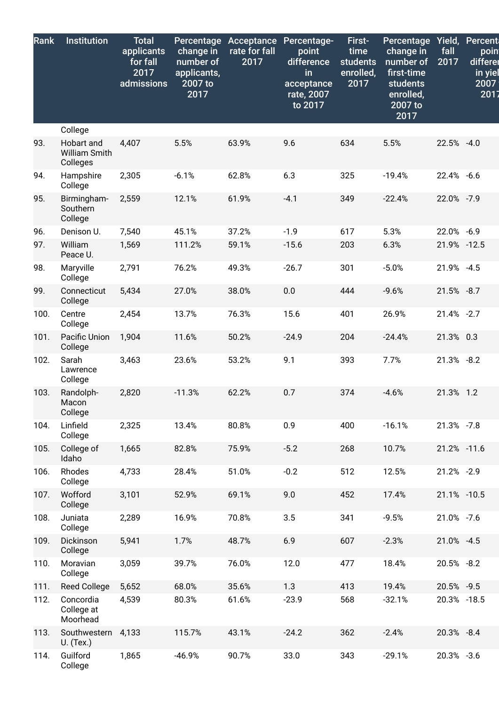| Rank | <b>Institution</b>                      | <b>Total</b><br>applicants<br>for fall<br>2017<br>admissions | Percentage<br>change in<br>number of<br>applicants,<br>2007 to<br>2017 | <b>Acceptance</b><br>rate for fall<br>2017 | Percentage-<br>point<br>difference<br>in<br>acceptance<br>rate, 2007<br>to 2017 | First-<br>time<br>students<br>enrolled,<br>2017 | Percentage<br>change in<br>number of<br>first-time<br>students<br>enrolled,<br>2007 to<br>2017 | Yield,<br>fall<br>2017 | <b>Percent</b><br>poin<br>differer<br>in yiel<br>2007<br>2017 |
|------|-----------------------------------------|--------------------------------------------------------------|------------------------------------------------------------------------|--------------------------------------------|---------------------------------------------------------------------------------|-------------------------------------------------|------------------------------------------------------------------------------------------------|------------------------|---------------------------------------------------------------|
|      | College                                 |                                                              |                                                                        |                                            |                                                                                 |                                                 |                                                                                                |                        |                                                               |
| 93.  | Hobart and<br>William Smith<br>Colleges | 4,407                                                        | 5.5%                                                                   | 63.9%                                      | 9.6                                                                             | 634                                             | 5.5%                                                                                           | 22.5% -4.0             |                                                               |
| 94.  | Hampshire<br>College                    | 2,305                                                        | $-6.1%$                                                                | 62.8%                                      | 6.3                                                                             | 325                                             | $-19.4%$                                                                                       | 22.4% -6.6             |                                                               |
| 95.  | Birmingham-<br>Southern<br>College      | 2,559                                                        | 12.1%                                                                  | 61.9%                                      | $-4.1$                                                                          | 349                                             | $-22.4%$                                                                                       | 22.0% -7.9             |                                                               |
| 96.  | Denison U.                              | 7,540                                                        | 45.1%                                                                  | 37.2%                                      | $-1.9$                                                                          | 617                                             | 5.3%                                                                                           | 22.0% -6.9             |                                                               |
| 97.  | William<br>Peace U.                     | 1,569                                                        | 111.2%                                                                 | 59.1%                                      | $-15.6$                                                                         | 203                                             | 6.3%                                                                                           | 21.9% -12.5            |                                                               |
| 98.  | Maryville<br>College                    | 2,791                                                        | 76.2%                                                                  | 49.3%                                      | $-26.7$                                                                         | 301                                             | $-5.0%$                                                                                        | 21.9% -4.5             |                                                               |
| 99.  | Connecticut<br>College                  | 5,434                                                        | 27.0%                                                                  | 38.0%                                      | 0.0                                                                             | 444                                             | $-9.6%$                                                                                        | 21.5% -8.7             |                                                               |
| 100. | Centre<br>College                       | 2,454                                                        | 13.7%                                                                  | 76.3%                                      | 15.6                                                                            | 401                                             | 26.9%                                                                                          | 21.4% -2.7             |                                                               |
| 101. | Pacific Union<br>College                | 1,904                                                        | 11.6%                                                                  | 50.2%                                      | $-24.9$                                                                         | 204                                             | $-24.4%$                                                                                       | 21.3% 0.3              |                                                               |
| 102. | Sarah<br>Lawrence<br>College            | 3,463                                                        | 23.6%                                                                  | 53.2%                                      | 9.1                                                                             | 393                                             | 7.7%                                                                                           | 21.3% -8.2             |                                                               |
| 103. | Randolph-<br>Macon<br>College           | 2,820                                                        | $-11.3%$                                                               | 62.2%                                      | 0.7                                                                             | 374                                             | $-4.6%$                                                                                        | 21.3% 1.2              |                                                               |
| 104. | Linfield<br>College                     | 2,325                                                        | 13.4%                                                                  | 80.8%                                      | 0.9                                                                             | 400                                             | $-16.1%$                                                                                       | 21.3% -7.8             |                                                               |
| 105. | College of<br>Idaho                     | 1,665                                                        | 82.8%                                                                  | 75.9%                                      | $-5.2$                                                                          | 268                                             | 10.7%                                                                                          | 21.2% -11.6            |                                                               |
| 106. | Rhodes<br>College                       | 4,733                                                        | 28.4%                                                                  | 51.0%                                      | $-0.2$                                                                          | 512                                             | 12.5%                                                                                          | 21.2% -2.9             |                                                               |
| 107. | Wofford<br>College                      | 3,101                                                        | 52.9%                                                                  | 69.1%                                      | 9.0                                                                             | 452                                             | 17.4%                                                                                          | 21.1% -10.5            |                                                               |
| 108. | Juniata<br>College                      | 2,289                                                        | 16.9%                                                                  | 70.8%                                      | 3.5                                                                             | 341                                             | $-9.5%$                                                                                        | 21.0% -7.6             |                                                               |
| 109. | Dickinson<br>College                    | 5,941                                                        | 1.7%                                                                   | 48.7%                                      | 6.9                                                                             | 607                                             | $-2.3%$                                                                                        | 21.0% -4.5             |                                                               |
| 110. | Moravian<br>College                     | 3,059                                                        | 39.7%                                                                  | 76.0%                                      | 12.0                                                                            | 477                                             | 18.4%                                                                                          | 20.5% -8.2             |                                                               |
| 111. | <b>Reed College</b>                     | 5,652                                                        | 68.0%                                                                  | 35.6%                                      | 1.3                                                                             | 413                                             | 19.4%                                                                                          | 20.5% -9.5             |                                                               |
| 112. | Concordia<br>College at<br>Moorhead     | 4,539                                                        | 80.3%                                                                  | 61.6%                                      | $-23.9$                                                                         | 568                                             | $-32.1%$                                                                                       | 20.3% -18.5            |                                                               |
| 113. | Southwestern<br>U. (Tex.)               | 4,133                                                        | 115.7%                                                                 | 43.1%                                      | $-24.2$                                                                         | 362                                             | $-2.4%$                                                                                        | 20.3% -8.4             |                                                               |
| 114. | Guilford<br>College                     | 1,865                                                        | $-46.9%$                                                               | 90.7%                                      | 33.0                                                                            | 343                                             | $-29.1%$                                                                                       | 20.3% -3.6             |                                                               |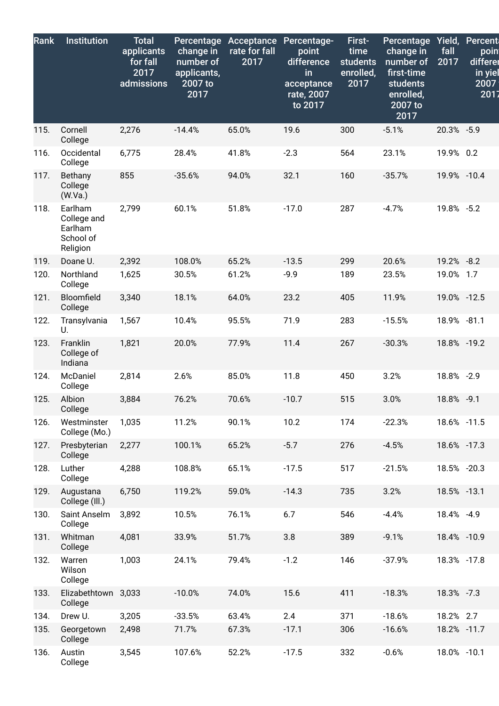| <b>Rank</b> | <b>Institution</b>                                         | <b>Total</b><br>applicants<br>for fall<br>2017<br>admissions | <b>Percentage</b><br>change in<br>number of<br>applicants,<br>2007 to<br>2017 | Acceptance<br>rate for fall<br>2017 | Percentage-<br>point<br>difference<br>in<br>acceptance<br>rate, 2007<br>to 2017 | First-<br>time<br><b>students</b><br>enrolled,<br>2017 | Percentage<br>change in<br>number of<br>first-time<br>students<br>enrolled,<br>2007 to<br>2017 | Yield,<br>fall<br>2017 | <b>Percent</b><br>poin<br>differer<br>in yiel<br>2007<br>2017 |
|-------------|------------------------------------------------------------|--------------------------------------------------------------|-------------------------------------------------------------------------------|-------------------------------------|---------------------------------------------------------------------------------|--------------------------------------------------------|------------------------------------------------------------------------------------------------|------------------------|---------------------------------------------------------------|
| 115.        | Cornell<br>College                                         | 2,276                                                        | $-14.4%$                                                                      | 65.0%                               | 19.6                                                                            | 300                                                    | $-5.1%$                                                                                        | 20.3% -5.9             |                                                               |
| 116.        | Occidental<br>College                                      | 6,775                                                        | 28.4%                                                                         | 41.8%                               | $-2.3$                                                                          | 564                                                    | 23.1%                                                                                          | 19.9% 0.2              |                                                               |
| 117.        | Bethany<br>College<br>(W.Va.)                              | 855                                                          | $-35.6%$                                                                      | 94.0%                               | 32.1                                                                            | 160                                                    | $-35.7%$                                                                                       | 19.9% -10.4            |                                                               |
| 118.        | Earlham<br>College and<br>Earlham<br>School of<br>Religion | 2,799                                                        | 60.1%                                                                         | 51.8%                               | $-17.0$                                                                         | 287                                                    | $-4.7%$                                                                                        | 19.8% -5.2             |                                                               |
| 119.        | Doane U.                                                   | 2,392                                                        | 108.0%                                                                        | 65.2%                               | $-13.5$                                                                         | 299                                                    | 20.6%                                                                                          | 19.2% -8.2             |                                                               |
| 120.        | Northland<br>College                                       | 1,625                                                        | 30.5%                                                                         | 61.2%                               | $-9.9$                                                                          | 189                                                    | 23.5%                                                                                          | 19.0% 1.7              |                                                               |
| 121.        | Bloomfield<br>College                                      | 3,340                                                        | 18.1%                                                                         | 64.0%                               | 23.2                                                                            | 405                                                    | 11.9%                                                                                          | 19.0% -12.5            |                                                               |
| 122.        | Transylvania<br>U.                                         | 1,567                                                        | 10.4%                                                                         | 95.5%                               | 71.9                                                                            | 283                                                    | $-15.5%$                                                                                       | 18.9% -81.1            |                                                               |
| 123.        | Franklin<br>College of<br>Indiana                          | 1,821                                                        | 20.0%                                                                         | 77.9%                               | 11.4                                                                            | 267                                                    | $-30.3%$                                                                                       | 18.8% -19.2            |                                                               |
| 124.        | McDaniel<br>College                                        | 2,814                                                        | 2.6%                                                                          | 85.0%                               | 11.8                                                                            | 450                                                    | 3.2%                                                                                           | 18.8% -2.9             |                                                               |
| 125.        | Albion<br>College                                          | 3,884                                                        | 76.2%                                                                         | 70.6%                               | $-10.7$                                                                         | 515                                                    | 3.0%                                                                                           | 18.8% -9.1             |                                                               |
| 126.        | Westminster<br>College (Mo.)                               | 1,035                                                        | 11.2%                                                                         | 90.1%                               | 10.2                                                                            | 174                                                    | $-22.3%$                                                                                       | 18.6% -11.5            |                                                               |
| 127.        | Presbyterian<br>College                                    | 2,277                                                        | 100.1%                                                                        | 65.2%                               | $-5.7$                                                                          | 276                                                    | $-4.5%$                                                                                        | 18.6% -17.3            |                                                               |
| 128.        | Luther<br>College                                          | 4,288                                                        | 108.8%                                                                        | 65.1%                               | $-17.5$                                                                         | 517                                                    | $-21.5%$                                                                                       | 18.5% -20.3            |                                                               |
| 129.        | Augustana<br>College (III.)                                | 6,750                                                        | 119.2%                                                                        | 59.0%                               | $-14.3$                                                                         | 735                                                    | 3.2%                                                                                           | 18.5% -13.1            |                                                               |
| 130.        | Saint Anselm<br>College                                    | 3,892                                                        | 10.5%                                                                         | 76.1%                               | 6.7                                                                             | 546                                                    | $-4.4%$                                                                                        | 18.4% -4.9             |                                                               |
| 131.        | Whitman<br>College                                         | 4,081                                                        | 33.9%                                                                         | 51.7%                               | 3.8                                                                             | 389                                                    | $-9.1%$                                                                                        | 18.4% -10.9            |                                                               |
| 132.        | Warren<br>Wilson<br>College                                | 1,003                                                        | 24.1%                                                                         | 79.4%                               | $-1.2$                                                                          | 146                                                    | $-37.9%$                                                                                       | 18.3% -17.8            |                                                               |
| 133.        | Elizabethtown<br>College                                   | 3,033                                                        | $-10.0%$                                                                      | 74.0%                               | 15.6                                                                            | 411                                                    | $-18.3%$                                                                                       | 18.3% -7.3             |                                                               |
| 134.        | Drew U.                                                    | 3,205                                                        | $-33.5%$                                                                      | 63.4%                               | 2.4                                                                             | 371                                                    | $-18.6%$                                                                                       | 18.2% 2.7              |                                                               |
| 135.        | Georgetown<br>College                                      | 2,498                                                        | 71.7%                                                                         | 67.3%                               | $-17.1$                                                                         | 306                                                    | $-16.6%$                                                                                       | 18.2% -11.7            |                                                               |
| 136.        | Austin<br>College                                          | 3,545                                                        | 107.6%                                                                        | 52.2%                               | $-17.5$                                                                         | 332                                                    | $-0.6%$                                                                                        | 18.0% -10.1            |                                                               |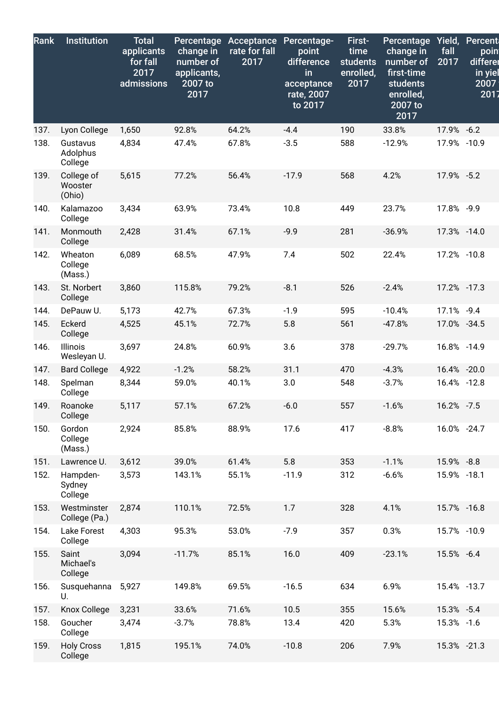| Rank | <b>Institution</b>              | <b>Total</b><br>applicants<br>for fall<br>2017<br>admissions | Percentage<br>change in<br>number of<br>applicants,<br>2007 to<br>2017 | Acceptance<br>rate for fall<br>2017 | Percentage-<br>point<br>difference<br>in<br>acceptance<br>rate, 2007<br>to 2017 | First-<br>time<br><b>students</b><br>enrolled,<br>2017 | <b>Percentage</b><br>change in<br>number of<br>first-time<br>students<br>enrolled,<br>2007 to<br>2017 | Yield,<br>fall<br>2017 | <b>Percent</b><br>poin<br>differer<br>in yiel<br>2007<br>2017 |
|------|---------------------------------|--------------------------------------------------------------|------------------------------------------------------------------------|-------------------------------------|---------------------------------------------------------------------------------|--------------------------------------------------------|-------------------------------------------------------------------------------------------------------|------------------------|---------------------------------------------------------------|
| 137. | Lyon College                    | 1,650                                                        | 92.8%                                                                  | 64.2%                               | $-4.4$                                                                          | 190                                                    | 33.8%                                                                                                 | 17.9% -6.2             |                                                               |
| 138. | Gustavus<br>Adolphus<br>College | 4,834                                                        | 47.4%                                                                  | 67.8%                               | $-3.5$                                                                          | 588                                                    | $-12.9%$                                                                                              | 17.9% -10.9            |                                                               |
| 139. | College of<br>Wooster<br>(Ohio) | 5,615                                                        | 77.2%                                                                  | 56.4%                               | $-17.9$                                                                         | 568                                                    | 4.2%                                                                                                  | 17.9% -5.2             |                                                               |
| 140. | Kalamazoo<br>College            | 3,434                                                        | 63.9%                                                                  | 73.4%                               | 10.8                                                                            | 449                                                    | 23.7%                                                                                                 | 17.8% -9.9             |                                                               |
| 141. | Monmouth<br>College             | 2,428                                                        | 31.4%                                                                  | 67.1%                               | $-9.9$                                                                          | 281                                                    | $-36.9%$                                                                                              | 17.3% -14.0            |                                                               |
| 142. | Wheaton<br>College<br>(Mass.)   | 6,089                                                        | 68.5%                                                                  | 47.9%                               | 7.4                                                                             | 502                                                    | 22.4%                                                                                                 | 17.2% -10.8            |                                                               |
| 143. | St. Norbert<br>College          | 3,860                                                        | 115.8%                                                                 | 79.2%                               | $-8.1$                                                                          | 526                                                    | $-2.4%$                                                                                               | 17.2% -17.3            |                                                               |
| 144. | DePauw U.                       | 5,173                                                        | 42.7%                                                                  | 67.3%                               | $-1.9$                                                                          | 595                                                    | $-10.4%$                                                                                              | 17.1% -9.4             |                                                               |
| 145. | Eckerd<br>College               | 4,525                                                        | 45.1%                                                                  | 72.7%                               | 5.8                                                                             | 561                                                    | $-47.8%$                                                                                              | 17.0% -34.5            |                                                               |
| 146. | Illinois<br>Wesleyan U.         | 3,697                                                        | 24.8%                                                                  | 60.9%                               | 3.6                                                                             | 378                                                    | $-29.7%$                                                                                              | 16.8% -14.9            |                                                               |
| 147. | <b>Bard College</b>             | 4,922                                                        | $-1.2%$                                                                | 58.2%                               | 31.1                                                                            | 470                                                    | $-4.3%$                                                                                               | 16.4% -20.0            |                                                               |
| 148. | Spelman<br>College              | 8,344                                                        | 59.0%                                                                  | 40.1%                               | 3.0                                                                             | 548                                                    | $-3.7%$                                                                                               | 16.4% -12.8            |                                                               |
| 149. | Roanoke<br>College              | 5,117                                                        | 57.1%                                                                  | 67.2%                               | $-6.0$                                                                          | 557                                                    | $-1.6%$                                                                                               | 16.2% -7.5             |                                                               |
| 150. | Gordon<br>College<br>(Mass.)    | 2,924                                                        | 85.8%                                                                  | 88.9%                               | 17.6                                                                            | 417                                                    | $-8.8%$                                                                                               | 16.0% -24.7            |                                                               |
| 151. | Lawrence U.                     | 3,612                                                        | 39.0%                                                                  | 61.4%                               | 5.8                                                                             | 353                                                    | $-1.1%$                                                                                               | 15.9% -8.8             |                                                               |
| 152. | Hampden-<br>Sydney<br>College   | 3,573                                                        | 143.1%                                                                 | 55.1%                               | $-11.9$                                                                         | 312                                                    | $-6.6%$                                                                                               | 15.9% -18.1            |                                                               |
| 153. | Westminster<br>College (Pa.)    | 2,874                                                        | 110.1%                                                                 | 72.5%                               | 1.7                                                                             | 328                                                    | 4.1%                                                                                                  | 15.7% -16.8            |                                                               |
| 154. | Lake Forest<br>College          | 4,303                                                        | 95.3%                                                                  | 53.0%                               | $-7.9$                                                                          | 357                                                    | 0.3%                                                                                                  | 15.7% -10.9            |                                                               |
| 155. | Saint<br>Michael's<br>College   | 3,094                                                        | $-11.7%$                                                               | 85.1%                               | 16.0                                                                            | 409                                                    | $-23.1%$                                                                                              | 15.5% -6.4             |                                                               |
| 156. | Susquehanna<br>U.               | 5,927                                                        | 149.8%                                                                 | 69.5%                               | $-16.5$                                                                         | 634                                                    | 6.9%                                                                                                  | 15.4% -13.7            |                                                               |
| 157. | Knox College                    | 3,231                                                        | 33.6%                                                                  | 71.6%                               | 10.5                                                                            | 355                                                    | 15.6%                                                                                                 | 15.3% -5.4             |                                                               |
| 158. | Goucher<br>College              | 3,474                                                        | $-3.7%$                                                                | 78.8%                               | 13.4                                                                            | 420                                                    | 5.3%                                                                                                  | 15.3% -1.6             |                                                               |
| 159. | <b>Holy Cross</b><br>College    | 1,815                                                        | 195.1%                                                                 | 74.0%                               | $-10.8$                                                                         | 206                                                    | 7.9%                                                                                                  | 15.3% -21.3            |                                                               |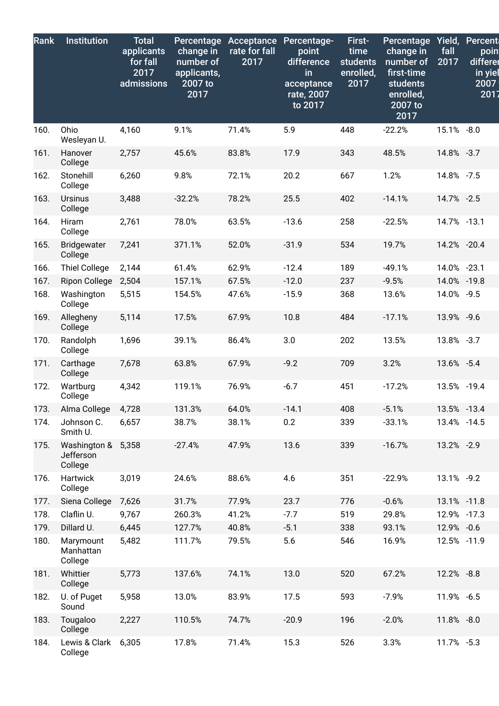| Rank | <b>Institution</b>                         | <b>Total</b><br>applicants<br>for fall<br>2017<br>admissions | Percentage<br>change in<br>number of<br>applicants,<br>2007 to<br>2017 | Acceptance<br>rate for fall<br>2017 | Percentage-<br>point<br>difference<br>in<br>acceptance<br>rate, 2007<br>to 2017 | First-<br>time<br><b>students</b><br>enrolled,<br>2017 | Percentage Yield, Percent<br>change in<br>number of<br>first-time<br>students<br>enrolled,<br>2007 to<br>2017 | fall<br>2017 | poin<br>differer<br>in yiel<br>2007<br>2017 |
|------|--------------------------------------------|--------------------------------------------------------------|------------------------------------------------------------------------|-------------------------------------|---------------------------------------------------------------------------------|--------------------------------------------------------|---------------------------------------------------------------------------------------------------------------|--------------|---------------------------------------------|
| 160. | Ohio<br>Wesleyan U.                        | 4,160                                                        | 9.1%                                                                   | 71.4%                               | 5.9                                                                             | 448                                                    | $-22.2%$                                                                                                      | 15.1% -8.0   |                                             |
| 161. | Hanover<br>College                         | 2,757                                                        | 45.6%                                                                  | 83.8%                               | 17.9                                                                            | 343                                                    | 48.5%                                                                                                         | 14.8% -3.7   |                                             |
| 162. | Stonehill<br>College                       | 6,260                                                        | 9.8%                                                                   | 72.1%                               | 20.2                                                                            | 667                                                    | 1.2%                                                                                                          | 14.8% -7.5   |                                             |
| 163. | <b>Ursinus</b><br>College                  | 3,488                                                        | $-32.2%$                                                               | 78.2%                               | 25.5                                                                            | 402                                                    | $-14.1%$                                                                                                      | 14.7% -2.5   |                                             |
| 164. | <b>Hiram</b><br>College                    | 2,761                                                        | 78.0%                                                                  | 63.5%                               | $-13.6$                                                                         | 258                                                    | $-22.5%$                                                                                                      | 14.7% -13.1  |                                             |
| 165. | <b>Bridgewater</b><br>College              | 7,241                                                        | 371.1%                                                                 | 52.0%                               | $-31.9$                                                                         | 534                                                    | 19.7%                                                                                                         | 14.2% -20.4  |                                             |
| 166. | <b>Thiel College</b>                       | 2,144                                                        | 61.4%                                                                  | 62.9%                               | $-12.4$                                                                         | 189                                                    | $-49.1%$                                                                                                      | 14.0% -23.1  |                                             |
| 167. | <b>Ripon College</b>                       | 2,504                                                        | 157.1%                                                                 | 67.5%                               | $-12.0$                                                                         | 237                                                    | $-9.5%$                                                                                                       | 14.0% -19.8  |                                             |
| 168. | Washington<br>College                      | 5,515                                                        | 154.5%                                                                 | 47.6%                               | $-15.9$                                                                         | 368                                                    | 13.6%                                                                                                         | 14.0% -9.5   |                                             |
| 169. | Allegheny<br>College                       | 5,114                                                        | 17.5%                                                                  | 67.9%                               | 10.8                                                                            | 484                                                    | $-17.1%$                                                                                                      | 13.9% -9.6   |                                             |
| 170. | Randolph<br>College                        | 1,696                                                        | 39.1%                                                                  | 86.4%                               | 3.0                                                                             | 202                                                    | 13.5%                                                                                                         | 13.8% -3.7   |                                             |
| 171. | Carthage<br>College                        | 7,678                                                        | 63.8%                                                                  | 67.9%                               | $-9.2$                                                                          | 709                                                    | 3.2%                                                                                                          | 13.6% -5.4   |                                             |
| 172. | Wartburg<br>College                        | 4,342                                                        | 119.1%                                                                 | 76.9%                               | $-6.7$                                                                          | 451                                                    | $-17.2%$                                                                                                      | 13.5% -19.4  |                                             |
| 173. | Alma College                               | 4,728                                                        | 131.3%                                                                 | 64.0%                               | $-14.1$                                                                         | 408                                                    | $-5.1%$                                                                                                       | 13.5% -13.4  |                                             |
| 174. | Johnson C.<br>Smith U.                     | 6,657                                                        | 38.7%                                                                  | 38.1%                               | 0.2                                                                             | 339                                                    | $-33.1%$                                                                                                      | 13.4% - 14.5 |                                             |
| 175. | Washington & 5,358<br>Jefferson<br>College |                                                              | $-27.4%$                                                               | 47.9%                               | 13.6                                                                            | 339                                                    | $-16.7%$                                                                                                      | 13.2% -2.9   |                                             |
| 176. | Hartwick<br>College                        | 3,019                                                        | 24.6%                                                                  | 88.6%                               | 4.6                                                                             | 351                                                    | $-22.9%$                                                                                                      | 13.1% -9.2   |                                             |
| 177. | Siena College                              | 7,626                                                        | 31.7%                                                                  | 77.9%                               | 23.7                                                                            | 776                                                    | $-0.6%$                                                                                                       | 13.1% -11.8  |                                             |
| 178. | Claflin U.                                 | 9,767                                                        | 260.3%                                                                 | 41.2%                               | $-7.7$                                                                          | 519                                                    | 29.8%                                                                                                         | 12.9% -17.3  |                                             |
| 179. | Dillard U.                                 | 6,445                                                        | 127.7%                                                                 | 40.8%                               | $-5.1$                                                                          | 338                                                    | 93.1%                                                                                                         | 12.9% -0.6   |                                             |
| 180. | Marymount<br>Manhattan<br>College          | 5,482                                                        | 111.7%                                                                 | 79.5%                               | 5.6                                                                             | 546                                                    | 16.9%                                                                                                         | 12.5% -11.9  |                                             |
| 181. | Whittier<br>College                        | 5,773                                                        | 137.6%                                                                 | 74.1%                               | 13.0                                                                            | 520                                                    | 67.2%                                                                                                         | 12.2% -8.8   |                                             |
| 182. | U. of Puget<br>Sound                       | 5,958                                                        | 13.0%                                                                  | 83.9%                               | 17.5                                                                            | 593                                                    | $-7.9%$                                                                                                       | 11.9% -6.5   |                                             |
| 183. | Tougaloo<br>College                        | 2,227                                                        | 110.5%                                                                 | 74.7%                               | $-20.9$                                                                         | 196                                                    | $-2.0%$                                                                                                       | 11.8% -8.0   |                                             |
| 184. | Lewis & Clark<br>College                   | 6,305                                                        | 17.8%                                                                  | 71.4%                               | 15.3                                                                            | 526                                                    | 3.3%                                                                                                          | 11.7% -5.3   |                                             |